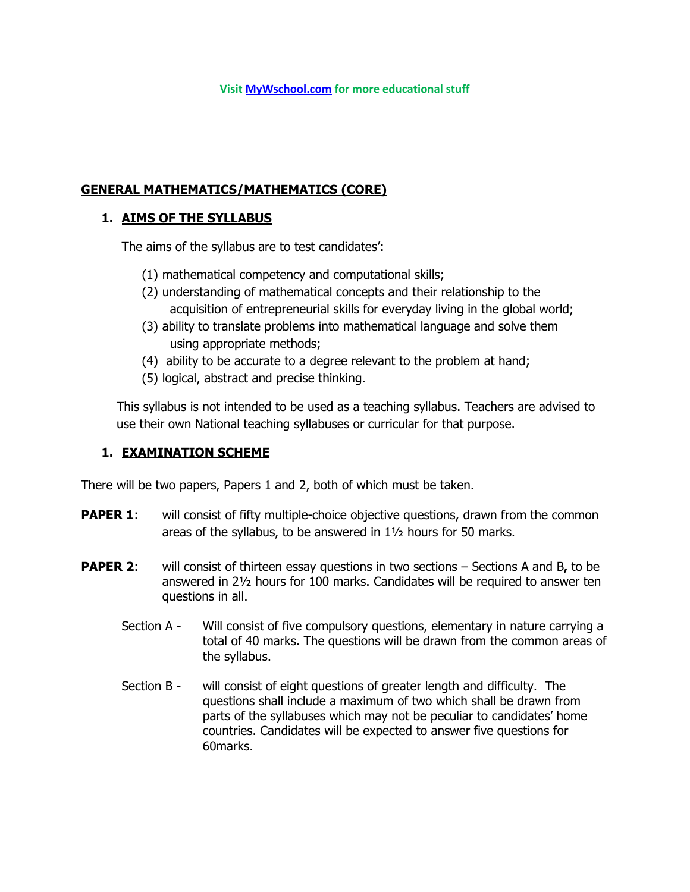# **GENERAL MATHEMATICS/MATHEMATICS (CORE)**

#### **1. AIMS OF THE SYLLABUS**

The aims of the syllabus are to test candidates':

- (1) mathematical competency and computational skills;
- (2) understanding of mathematical concepts and their relationship to the acquisition of entrepreneurial skills for everyday living in the global world;
- (3) ability to translate problems into mathematical language and solve them using appropriate methods;
- (4) ability to be accurate to a degree relevant to the problem at hand;
- (5) logical, abstract and precise thinking.

This syllabus is not intended to be used as a teaching syllabus. Teachers are advised to use their own National teaching syllabuses or curricular for that purpose.

### **1. EXAMINATION SCHEME**

There will be two papers, Papers 1 and 2, both of which must be taken.

- **PAPER 1:** will consist of fifty multiple-choice objective questions, drawn from the common areas of the syllabus, to be answered in 1½ hours for 50 marks.
- **PAPER 2:** will consist of thirteen essay questions in two sections Sections A and B, to be answered in 2½ hours for 100 marks. Candidates will be required to answer ten questions in all.
	- Section A Will consist of five compulsory questions, elementary in nature carrying a total of 40 marks. The questions will be drawn from the common areas of the syllabus.
	- Section B will consist of eight questions of greater length and difficulty. The questions shall include a maximum of two which shall be drawn from parts of the syllabuses which may not be peculiar to candidates' home countries. Candidates will be expected to answer five questions for 60marks.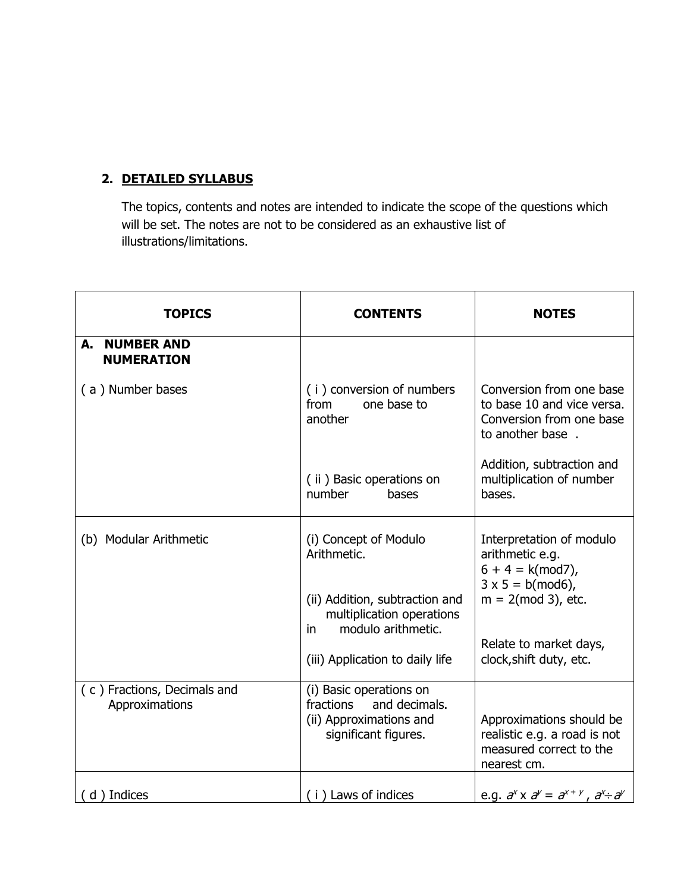# **2. DETAILED SYLLABUS**

The topics, contents and notes are intended to indicate the scope of the questions which will be set. The notes are not to be considered as an exhaustive list of illustrations/limitations.

| <b>TOPICS</b>                                 | <b>CONTENTS</b>                                                                                          | <b>NOTES</b>                                                                                           |
|-----------------------------------------------|----------------------------------------------------------------------------------------------------------|--------------------------------------------------------------------------------------------------------|
| A. NUMBER AND<br><b>NUMERATION</b>            |                                                                                                          |                                                                                                        |
| (a) Number bases                              | (i) conversion of numbers<br>from<br>one base to<br>another                                              | Conversion from one base<br>to base 10 and vice versa.<br>Conversion from one base<br>to another base. |
|                                               | (ii) Basic operations on<br>number<br>bases                                                              | Addition, subtraction and<br>multiplication of number<br>bases.                                        |
| (b) Modular Arithmetic                        | (i) Concept of Modulo<br>Arithmetic.                                                                     | Interpretation of modulo<br>arithmetic e.g.<br>$6 + 4 = k (mod 7)$ ,<br>$3 \times 5 = b \pmod{6}$ ,    |
|                                               | (ii) Addition, subtraction and<br>multiplication operations<br>modulo arithmetic.<br>in.                 | $m = 2 \pmod{3}$ , etc.                                                                                |
|                                               | (iii) Application to daily life                                                                          | Relate to market days,<br>clock, shift duty, etc.                                                      |
| (c) Fractions, Decimals and<br>Approximations | (i) Basic operations on<br>fractions<br>and decimals.<br>(ii) Approximations and<br>significant figures. | Approximations should be<br>realistic e.g. a road is not<br>measured correct to the<br>nearest cm.     |
| (d) Indices                                   | (i) Laws of indices                                                                                      | e.g. $a^x \times a^y = a^{x+y}$ , $a^x \div a^y$                                                       |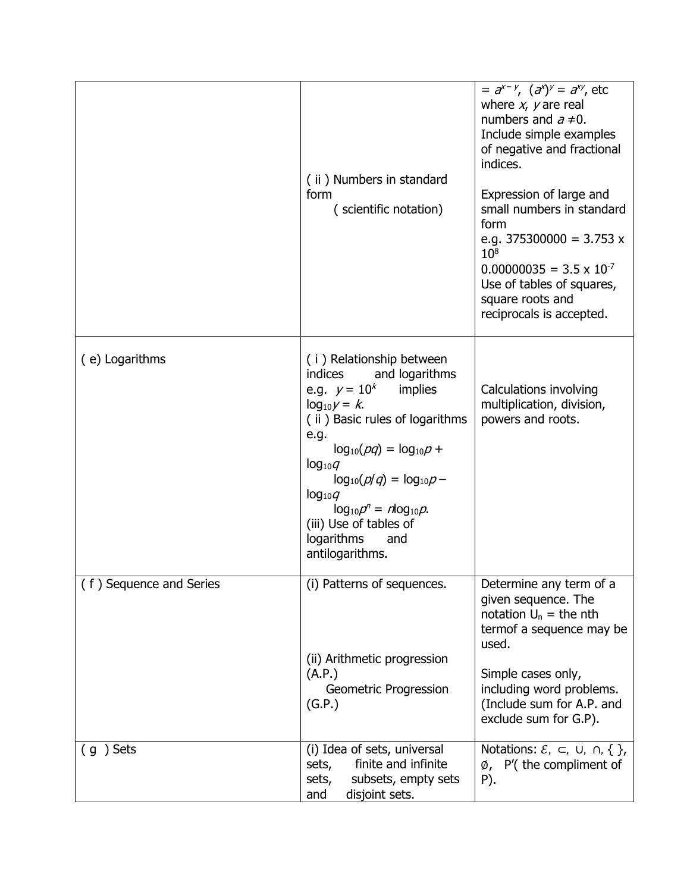|                         | (ii) Numbers in standard<br>form<br>(scientific notation)                                                                                                                                                                                                                                                                                              | $=$ $a^{x-y}$ , $(a^x)^y = a^{xy}$ , etc<br>where $x$ , $y$ are real<br>numbers and $a \ne 0$ .<br>Include simple examples<br>of negative and fractional<br>indices.<br>Expression of large and<br>small numbers in standard<br>form<br>e.g. $375300000 = 3.753 x$<br>$10^{8}$<br>$0.00000035 = 3.5 \times 10^{-7}$<br>Use of tables of squares,<br>square roots and<br>reciprocals is accepted. |
|-------------------------|--------------------------------------------------------------------------------------------------------------------------------------------------------------------------------------------------------------------------------------------------------------------------------------------------------------------------------------------------------|--------------------------------------------------------------------------------------------------------------------------------------------------------------------------------------------------------------------------------------------------------------------------------------------------------------------------------------------------------------------------------------------------|
| (e) Logarithms          | (i) Relationship between<br>indices<br>and logarithms<br>e.g. $y = 10^k$<br>implies<br>$log_{10} y = k$ .<br>(ii) Basic rules of logarithms<br>e.g.<br>$log_{10}(pq) = log_{10}p +$<br>$log_{10}q$<br>$log_{10}(p/q) = log_{10}p -$<br>$log_{10}q$<br>$log_{10}p^{n} = nlog_{10}p$ .<br>(iii) Use of tables of<br>logarithms<br>and<br>antilogarithms. | Calculations involving<br>multiplication, division,<br>powers and roots.                                                                                                                                                                                                                                                                                                                         |
| (f) Sequence and Series | (i) Patterns of sequences.<br>(ii) Arithmetic progression<br>(A.P.)<br>Geometric Progression<br>(G.P.)                                                                                                                                                                                                                                                 | Determine any term of a<br>given sequence. The<br>notation $U_n =$ the nth<br>termof a sequence may be<br>used.<br>Simple cases only,<br>including word problems.<br>(Include sum for A.P. and<br>exclude sum for G.P).                                                                                                                                                                          |
| $(g)$ Sets              | (i) Idea of sets, universal<br>finite and infinite<br>sets,<br>sets,<br>subsets, empty sets<br>disjoint sets.<br>and                                                                                                                                                                                                                                   | Notations: $\mathcal{E}, \subset, \cup, \cap, \{\}$ ,<br>$\emptyset$ , P'(the compliment of<br>P).                                                                                                                                                                                                                                                                                               |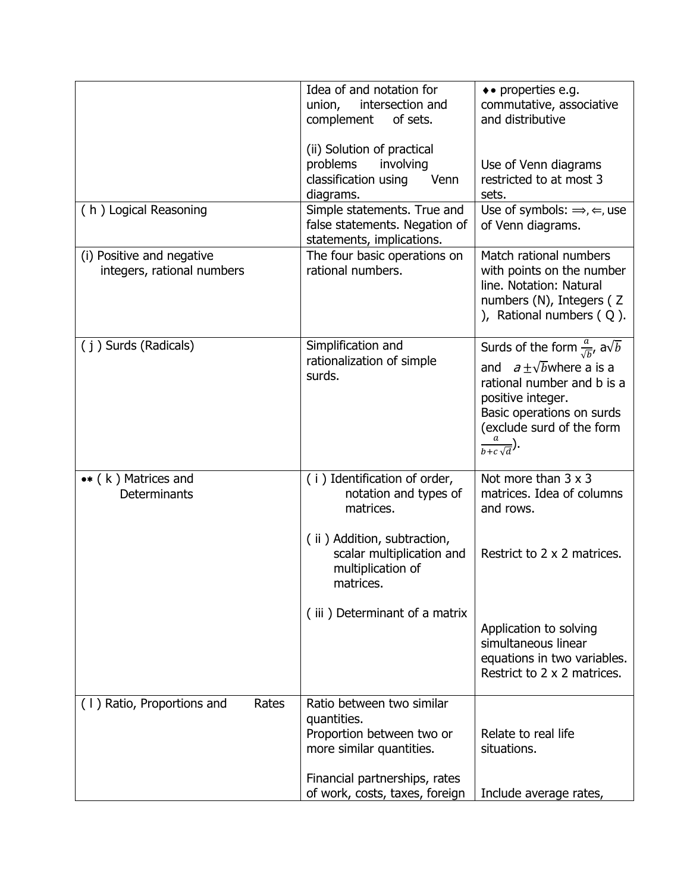| (h) Logical Reasoning                                   | Idea of and notation for<br>intersection and<br>union,<br>complement<br>of sets.<br>(ii) Solution of practical<br>involving<br>problems<br>classification using<br>Venn<br>diagrams.<br>Simple statements. True and | • properties e.g.<br>commutative, associative<br>and distributive<br>Use of Venn diagrams<br>restricted to at most 3<br>sets.<br>Use of symbols: $\Rightarrow$ , $\Leftarrow$ , use                                                 |
|---------------------------------------------------------|---------------------------------------------------------------------------------------------------------------------------------------------------------------------------------------------------------------------|-------------------------------------------------------------------------------------------------------------------------------------------------------------------------------------------------------------------------------------|
|                                                         | false statements. Negation of<br>statements, implications.                                                                                                                                                          | of Venn diagrams.                                                                                                                                                                                                                   |
| (i) Positive and negative<br>integers, rational numbers | The four basic operations on<br>rational numbers.                                                                                                                                                                   | Match rational numbers<br>with points on the number<br>line. Notation: Natural<br>numbers (N), Integers (Z<br>), Rational numbers $(Q)$ .                                                                                           |
| (i) Surds (Radicals)                                    | Simplification and<br>rationalization of simple<br>surds.                                                                                                                                                           | Surds of the form $\frac{a}{\sqrt{b}}$ , a $\sqrt{b}$<br>and $a + \sqrt{b}$ where a is a<br>rational number and b is a<br>positive integer.<br>Basic operations on surds<br>(exclude surd of the form<br>$\frac{a}{b+c\sqrt{d}}$ ). |
| $\bullet\ast$ (k) Matrices and<br>Determinants          | (i) Identification of order,<br>notation and types of<br>matrices.<br>(ii) Addition, subtraction,<br>scalar multiplication and<br>multiplication of<br>matrices.<br>(iii) Determinant of a matrix                   | Not more than $3 \times 3$<br>matrices. Idea of columns<br>and rows.<br>Restrict to 2 x 2 matrices.<br>Application to solving<br>simultaneous linear<br>equations in two variables.<br>Restrict to 2 x 2 matrices.                  |
| (1) Ratio, Proportions and<br>Rates                     | Ratio between two similar<br>quantities.<br>Proportion between two or<br>more similar quantities.<br>Financial partnerships, rates<br>of work, costs, taxes, foreign                                                | Relate to real life<br>situations.<br>Include average rates,                                                                                                                                                                        |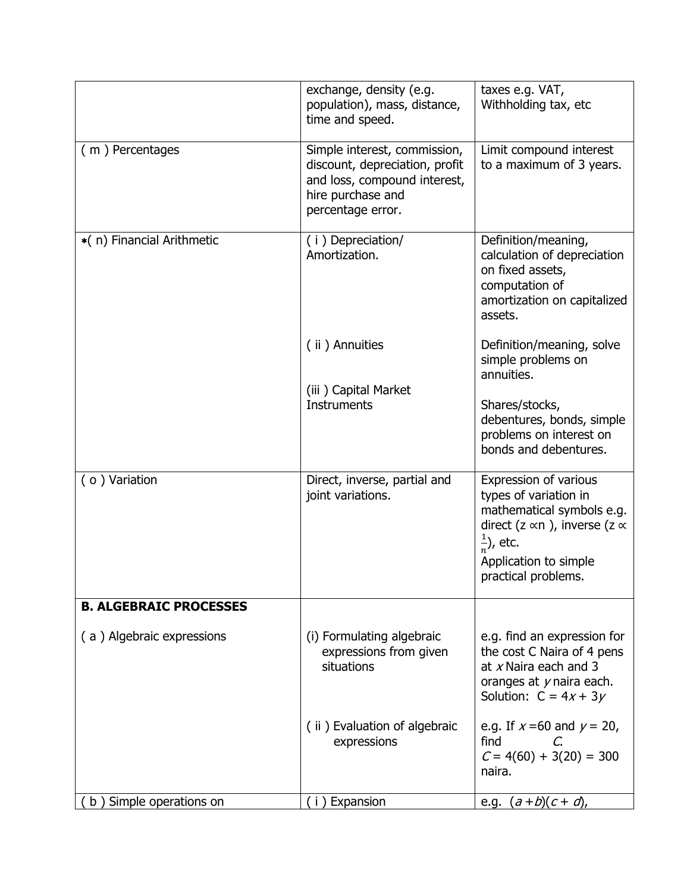|                               | exchange, density (e.g.<br>population), mass, distance,<br>time and speed.                                                               | taxes e.g. VAT,<br>Withholding tax, etc                                                                                                                                                              |
|-------------------------------|------------------------------------------------------------------------------------------------------------------------------------------|------------------------------------------------------------------------------------------------------------------------------------------------------------------------------------------------------|
| (m) Percentages               | Simple interest, commission,<br>discount, depreciation, profit<br>and loss, compound interest,<br>hire purchase and<br>percentage error. | Limit compound interest<br>to a maximum of 3 years.                                                                                                                                                  |
| *(n) Financial Arithmetic     | (i) Depreciation/<br>Amortization.                                                                                                       | Definition/meaning,<br>calculation of depreciation<br>on fixed assets,<br>computation of<br>amortization on capitalized<br>assets.                                                                   |
|                               | (ii) Annuities                                                                                                                           | Definition/meaning, solve<br>simple problems on<br>annuities.                                                                                                                                        |
|                               | (iii) Capital Market<br><b>Instruments</b>                                                                                               | Shares/stocks,<br>debentures, bonds, simple<br>problems on interest on<br>bonds and debentures.                                                                                                      |
| (o) Variation                 | Direct, inverse, partial and<br>joint variations.                                                                                        | Expression of various<br>types of variation in<br>mathematical symbols e.g.<br>direct (z $\propto$ n ), inverse (z $\propto$<br>$\frac{1}{n}$ , etc.<br>Application to simple<br>practical problems. |
| <b>B. ALGEBRAIC PROCESSES</b> |                                                                                                                                          |                                                                                                                                                                                                      |
| (a) Algebraic expressions     | (i) Formulating algebraic<br>expressions from given<br>situations                                                                        | e.g. find an expression for<br>the cost C Naira of 4 pens<br>at $x$ Naira each and 3<br>oranges at $y$ naira each.<br>Solution: $C = 4x + 3y$                                                        |
|                               | (ii) Evaluation of algebraic<br>expressions                                                                                              | e.g. If $x = 60$ and $y = 20$ ,<br>find<br>C.<br>$C = 4(60) + 3(20) = 300$<br>naira.                                                                                                                 |
| b) Simple operations on       | (i) Expansion                                                                                                                            | e.g. $(a+b)(c+d)$ ,                                                                                                                                                                                  |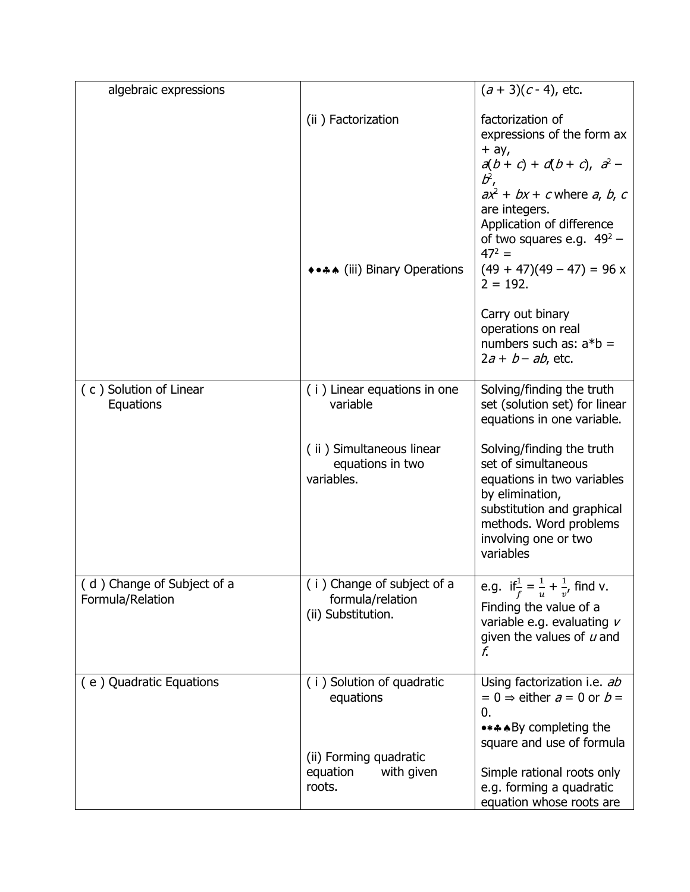| algebraic expressions                          |                                                  | $(a + 3)(c - 4)$ , etc.                                                              |
|------------------------------------------------|--------------------------------------------------|--------------------------------------------------------------------------------------|
|                                                | (ii) Factorization                               | factorization of                                                                     |
|                                                |                                                  | expressions of the form ax<br>$+$ ay,                                                |
|                                                |                                                  | $a(b + c) + d(b + c), a2 -$<br>$b^2$ ,                                               |
|                                                |                                                  | $ax^2 + bx + c$ where a, b, c                                                        |
|                                                |                                                  | are integers.<br>Application of difference                                           |
|                                                |                                                  | of two squares e.g. $49^2$ –<br>$47^2 =$                                             |
|                                                | *** (iii) Binary Operations                      | $(49 + 47)(49 - 47) = 96$ x<br>$2 = 192.$                                            |
|                                                |                                                  | Carry out binary<br>operations on real                                               |
|                                                |                                                  | numbers such as: $a*b =$                                                             |
|                                                |                                                  | $2a + b - ab$ , etc.                                                                 |
| (c) Solution of Linear<br>Equations            | (i) Linear equations in one<br>variable          | Solving/finding the truth<br>set (solution set) for linear                           |
|                                                |                                                  | equations in one variable.                                                           |
|                                                | (ii) Simultaneous linear<br>equations in two     | Solving/finding the truth<br>set of simultaneous                                     |
|                                                | variables.                                       | equations in two variables<br>by elimination,                                        |
|                                                |                                                  | substitution and graphical<br>methods. Word problems                                 |
|                                                |                                                  | involving one or two<br>variables                                                    |
|                                                |                                                  |                                                                                      |
| (d) Change of Subject of a<br>Formula/Relation | (i) Change of subject of a<br>formula/relation   | e.g. if $\frac{1}{f} = \frac{1}{u} + \frac{1}{v'}$ find v.<br>Finding the value of a |
|                                                | (ii) Substitution.                               | variable e.g. evaluating $\nu$                                                       |
|                                                |                                                  | given the values of $u$ and<br>f.                                                    |
| (e) Quadratic Equations                        | (i) Solution of quadratic                        | Using factorization i.e. ab                                                          |
|                                                | equations                                        | $= 0 \Rightarrow$ either $a = 0$ or $b =$<br>0.                                      |
|                                                |                                                  | •***By completing the<br>square and use of formula                                   |
|                                                | (ii) Forming quadratic<br>with given<br>equation | Simple rational roots only                                                           |
|                                                | roots.                                           | e.g. forming a quadratic<br>equation whose roots are                                 |
|                                                |                                                  |                                                                                      |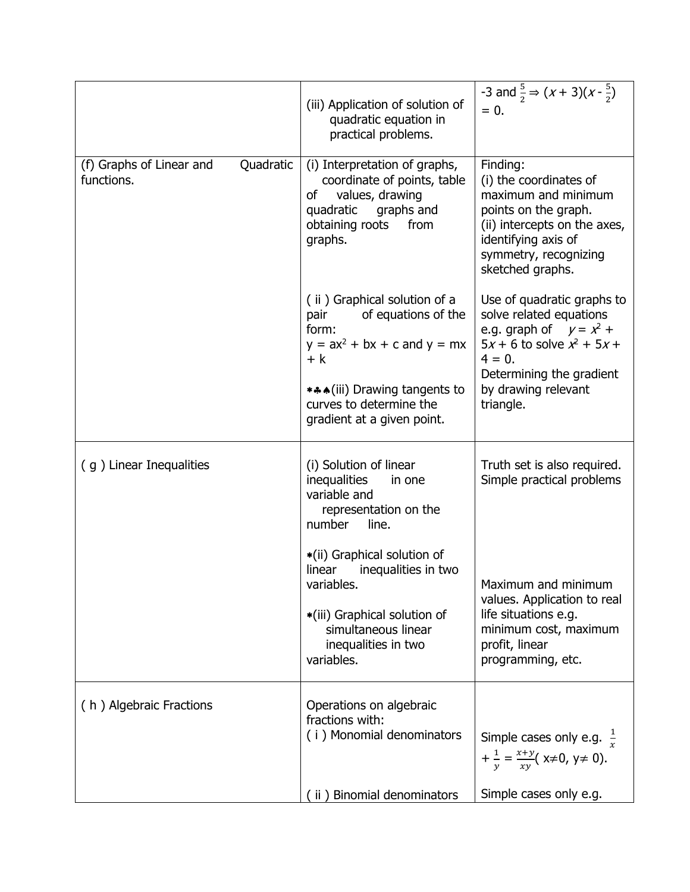|                                                     | (iii) Application of solution of<br>quadratic equation in<br>practical problems.                                                                                                                           | -3 and $\frac{5}{2} \Rightarrow (x + 3)(x - \frac{5}{2})$<br>$= 0.$                                                                                                                                  |
|-----------------------------------------------------|------------------------------------------------------------------------------------------------------------------------------------------------------------------------------------------------------------|------------------------------------------------------------------------------------------------------------------------------------------------------------------------------------------------------|
| Quadratic<br>(f) Graphs of Linear and<br>functions. | (i) Interpretation of graphs,<br>coordinate of points, table<br>values, drawing<br>of<br>quadratic<br>graphs and<br>obtaining roots<br>from<br>graphs.                                                     | Finding:<br>(i) the coordinates of<br>maximum and minimum<br>points on the graph.<br>(ii) intercepts on the axes,<br>identifying axis of<br>symmetry, recognizing<br>sketched graphs.                |
|                                                     | (ii) Graphical solution of a<br>of equations of the<br>pair<br>form:<br>$y = ax^2 + bx + c$ and $y = mx$<br>$+ k$<br>***(iii) Drawing tangents to<br>curves to determine the<br>gradient at a given point. | Use of quadratic graphs to<br>solve related equations<br>e.g. graph of $y = x^2 + y^2$<br>$5x + 6$ to solve $x^2 + 5x +$<br>$4 = 0.$<br>Determining the gradient<br>by drawing relevant<br>triangle. |
| (g) Linear Inequalities                             | (i) Solution of linear<br><i>inequalities</i><br>in one<br>variable and<br>representation on the<br>line.<br>number                                                                                        | Truth set is also required.<br>Simple practical problems                                                                                                                                             |
|                                                     | *(ii) Graphical solution of<br>linear<br>inequalities in two<br>variables.<br>*(iii) Graphical solution of<br>simultaneous linear<br>inequalities in two<br>variables.                                     | Maximum and minimum<br>values. Application to real<br>life situations e.g.<br>minimum cost, maximum<br>profit, linear<br>programming, etc.                                                           |
| (h) Algebraic Fractions                             | Operations on algebraic<br>fractions with:<br>(i) Monomial denominators                                                                                                                                    | Simple cases only e.g. $\frac{1}{r}$<br>$+\frac{1}{v} = \frac{x+y}{xy} (x \neq 0, y \neq 0).$                                                                                                        |
|                                                     | (ii) Binomial denominators                                                                                                                                                                                 | Simple cases only e.g.                                                                                                                                                                               |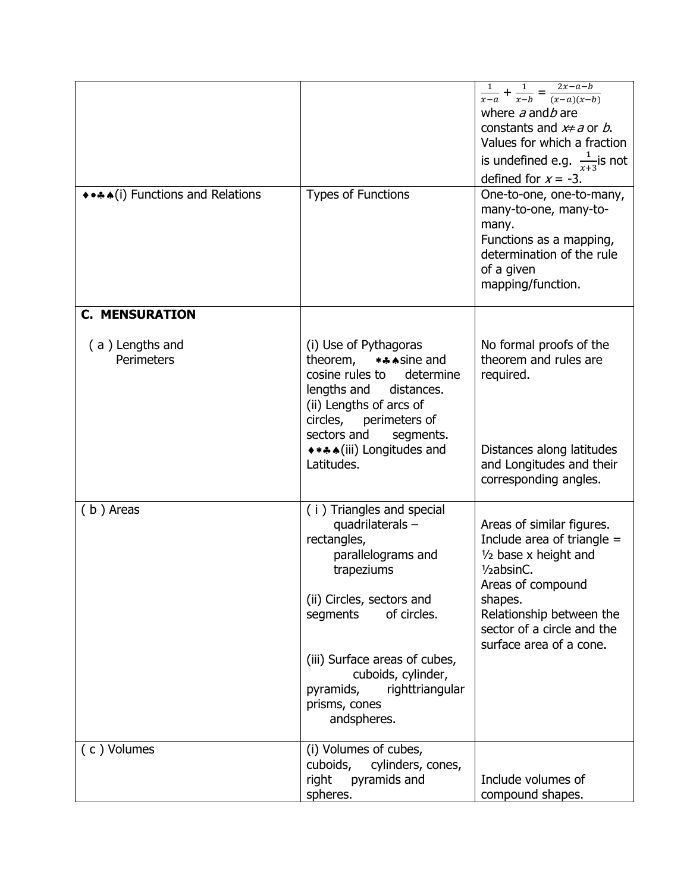| **** (i) Functions and Relations | <b>Types of Functions</b>                                                                                                                                                                    | $\frac{1}{x-a} + \frac{1}{x-b} = \frac{2x-a-b}{(x-a)(x-b)}$<br>where $a$ and $b$ are<br>constants and $x \neq a$ or b.<br>Values for which a fraction<br>is undefined e.g. $\frac{1}{x+3}$ is not<br>defined for $x = -3$ .<br>One-to-one, one-to-many,<br>many-to-one, many-to-<br>many.<br>Functions as a mapping,<br>determination of the rule<br>of a given<br>mapping/function. |
|----------------------------------|----------------------------------------------------------------------------------------------------------------------------------------------------------------------------------------------|--------------------------------------------------------------------------------------------------------------------------------------------------------------------------------------------------------------------------------------------------------------------------------------------------------------------------------------------------------------------------------------|
| <b>C. MENSURATION</b>            |                                                                                                                                                                                              |                                                                                                                                                                                                                                                                                                                                                                                      |
| (a) Lengths and<br>Perimeters    | (i) Use of Pythagoras<br>*** sine and<br>theorem,<br>cosine rules to determine<br>lengths and<br>distances.<br>(ii) Lengths of arcs of<br>circles, perimeters of<br>sectors and<br>segments. | No formal proofs of the<br>theorem and rules are<br>required.                                                                                                                                                                                                                                                                                                                        |
|                                  | ****(iii) Longitudes and<br>Latitudes.                                                                                                                                                       | Distances along latitudes<br>and Longitudes and their<br>corresponding angles.                                                                                                                                                                                                                                                                                                       |
| (b) Areas                        | (i) Triangles and special<br>quadrilaterals -<br>rectangles,<br>parallelograms and<br>trapeziums<br>(ii) Circles, sectors and<br>of circles.<br>segments                                     | Areas of similar figures.<br>Include area of triangle $=$<br>$1/2$ base x height and<br>1/ <sub>2</sub> absinC.<br>Areas of compound<br>shapes.<br>Relationship between the<br>sector of a circle and the<br>surface area of a cone.                                                                                                                                                 |
|                                  | (iii) Surface areas of cubes,<br>cuboids, cylinder,<br>righttriangular<br>pyramids,<br>prisms, cones<br>andspheres.                                                                          |                                                                                                                                                                                                                                                                                                                                                                                      |
| (c) Volumes                      | (i) Volumes of cubes,<br>cuboids,<br>cylinders, cones,<br>pyramids and<br>right<br>spheres.                                                                                                  | Include volumes of<br>compound shapes.                                                                                                                                                                                                                                                                                                                                               |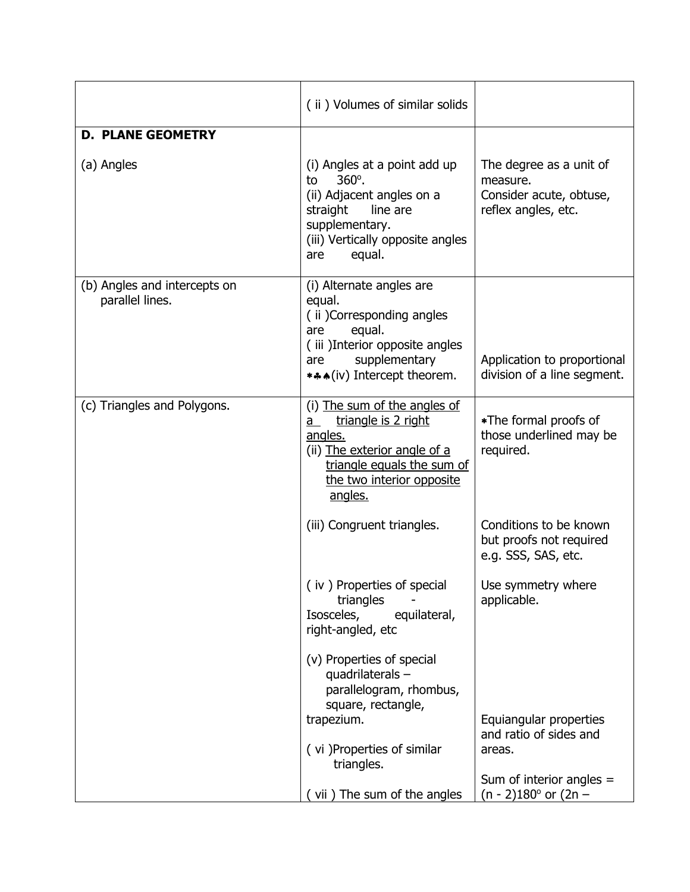|                                                 | (ii) Volumes of similar solids                                                                                                                                                         |                                                                                                                            |
|-------------------------------------------------|----------------------------------------------------------------------------------------------------------------------------------------------------------------------------------------|----------------------------------------------------------------------------------------------------------------------------|
| <b>D. PLANE GEOMETRY</b>                        |                                                                                                                                                                                        |                                                                                                                            |
| (a) Angles                                      | (i) Angles at a point add up<br>360°.<br>to<br>(ii) Adjacent angles on a<br>line are<br>straight<br>supplementary.<br>(iii) Vertically opposite angles<br>equal.<br>are                | The degree as a unit of<br>measure.<br>Consider acute, obtuse,<br>reflex angles, etc.                                      |
| (b) Angles and intercepts on<br>parallel lines. | (i) Alternate angles are<br>equal.<br>(ii) Corresponding angles<br>equal.<br>are<br>(iii) Interior opposite angles<br>supplementary<br>are<br>***(iv) Intercept theorem.               | Application to proportional<br>division of a line segment.                                                                 |
| (c) Triangles and Polygons.                     | (i) The sum of the angles of<br>triangle is 2 right<br>a<br>angles.<br>(ii) The exterior angle of a<br>triangle equals the sum of<br>the two interior opposite<br>angles.              | *The formal proofs of<br>those underlined may be<br>required.                                                              |
|                                                 | (iii) Congruent triangles.                                                                                                                                                             | Conditions to be known<br>but proofs not required<br>e.g. SSS, SAS, etc.                                                   |
|                                                 | (iv) Properties of special<br>triangles<br>Isosceles,<br>equilateral,<br>right-angled, etc                                                                                             | Use symmetry where<br>applicable.                                                                                          |
|                                                 | (v) Properties of special<br>quadrilaterals-<br>parallelogram, rhombus,<br>square, rectangle,<br>trapezium.<br>(vi) Properties of similar<br>triangles.<br>(vii) The sum of the angles | Equiangular properties<br>and ratio of sides and<br>areas.<br>Sum of interior angles $=$<br>(n - 2)180 $^{\circ}$ or (2n – |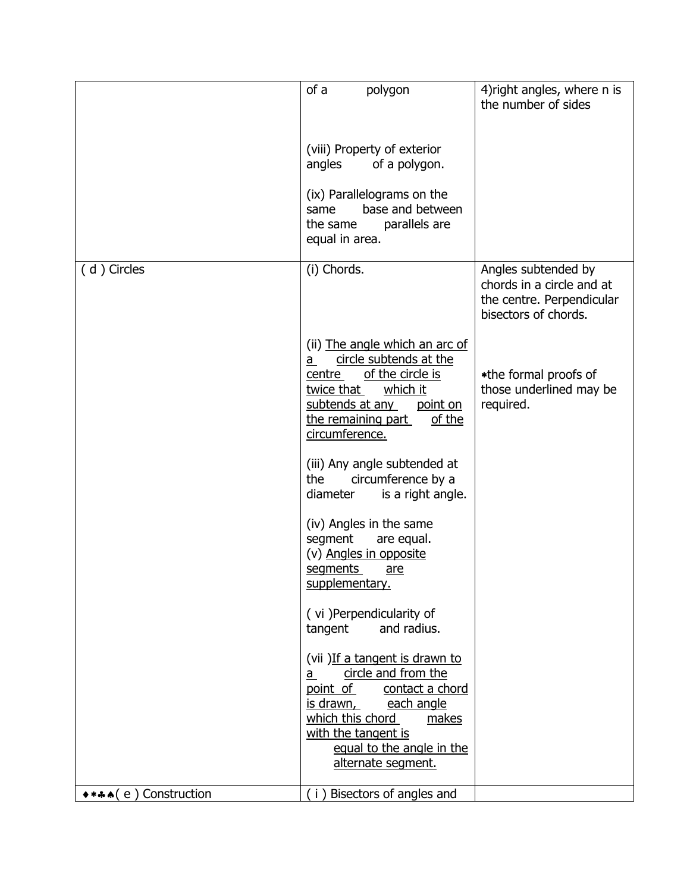|                            | of a<br>polygon                                                                                                                                                                                                                    | 4) right angles, where n is<br>the number of sides                             |
|----------------------------|------------------------------------------------------------------------------------------------------------------------------------------------------------------------------------------------------------------------------------|--------------------------------------------------------------------------------|
|                            |                                                                                                                                                                                                                                    |                                                                                |
|                            | (viii) Property of exterior<br>angles<br>of a polygon.                                                                                                                                                                             |                                                                                |
|                            | (ix) Parallelograms on the<br>base and between<br>same<br>parallels are<br>the same<br>equal in area.                                                                                                                              |                                                                                |
| (d) Circles                | (i) Chords.                                                                                                                                                                                                                        | Angles subtended by                                                            |
|                            |                                                                                                                                                                                                                                    | chords in a circle and at<br>the centre. Perpendicular<br>bisectors of chords. |
|                            | (ii) The angle which an arc of<br>circle subtends at the<br>a -<br>centre of the circle is<br>twice that<br>which it<br>subtends at any<br>point on<br>the remaining part<br>of the<br>circumference.                              | *the formal proofs of<br>those underlined may be<br>required.                  |
|                            | (iii) Any angle subtended at<br>the<br>circumference by a<br>diameter<br>is a right angle.                                                                                                                                         |                                                                                |
|                            | (iv) Angles in the same<br>segment<br>are equal.<br>(v) Angles in opposite<br>segments<br>are<br>supplementary.                                                                                                                    |                                                                                |
|                            | (vi) Perpendicularity of<br>and radius.<br>tangent                                                                                                                                                                                 |                                                                                |
|                            | (vii) If a tangent is drawn to<br>circle and from the<br>a<br>point of<br>contact a chord<br><u>is drawn,</u><br>each angle<br>which this chord<br>makes<br>with the tangent is<br>equal to the angle in the<br>alternate segment. |                                                                                |
| ◆ * * * ( e ) Construction | (i) Bisectors of angles and                                                                                                                                                                                                        |                                                                                |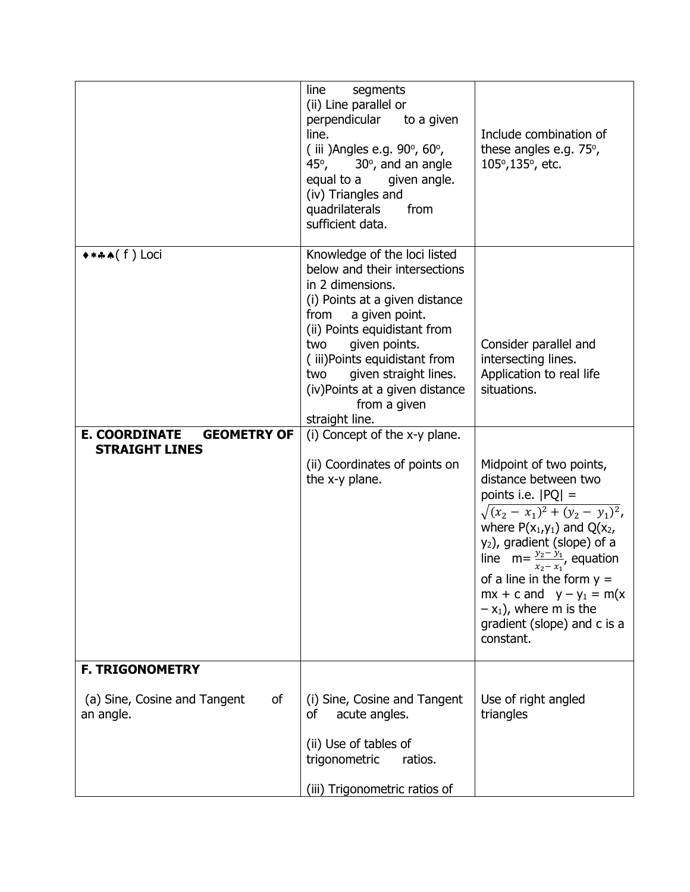|                                                                           | line<br>segments<br>(ii) Line parallel or<br>perpendicular<br>to a given<br>line.<br>(iii) Angles e.g. $90^\circ$ , $60^\circ$ ,<br>45°,<br>$30^\circ$ , and an angle<br>equal to a<br>given angle.<br>(iv) Triangles and<br>quadrilaterals<br>from<br>sufficient data.                                                                   | Include combination of<br>these angles e.g. $75^\circ$ ,<br>105°,135°, etc.                                                                                                                                                                                                                                                                                                                  |
|---------------------------------------------------------------------------|-------------------------------------------------------------------------------------------------------------------------------------------------------------------------------------------------------------------------------------------------------------------------------------------------------------------------------------------|----------------------------------------------------------------------------------------------------------------------------------------------------------------------------------------------------------------------------------------------------------------------------------------------------------------------------------------------------------------------------------------------|
| ****(f) Loci                                                              | Knowledge of the loci listed<br>below and their intersections<br>in 2 dimensions.<br>(i) Points at a given distance<br>a given point.<br>from<br>(ii) Points equidistant from<br>given points.<br>two<br>(iii)Points equidistant from<br>given straight lines.<br>two<br>(iv)Points at a given distance<br>from a given<br>straight line. | Consider parallel and<br>intersecting lines.<br>Application to real life<br>situations.                                                                                                                                                                                                                                                                                                      |
| <b>E. COORDINATE</b><br><b>GEOMETRY OF</b><br><b>STRAIGHT LINES</b>       | (i) Concept of the x-y plane.<br>(ii) Coordinates of points on<br>the x-y plane.                                                                                                                                                                                                                                                          | Midpoint of two points,<br>distance between two<br>points i.e. $ PQ $ =<br>$\sqrt{(x_2 - x_1)^2 + (y_2 - y_1)^2}$<br>where $P(x_1,y_1)$ and $Q(x_2,$<br>y <sub>2</sub> ), gradient (slope) of a<br>line $m = \frac{y_2 - y_1}{x_2 - x_1}$ , equation<br>of a line in the form $y =$<br>$mx + c$ and $y - y_1 = m(x)$<br>$-x_1$ ), where m is the<br>gradient (slope) and c is a<br>constant. |
| <b>F. TRIGONOMETRY</b><br>(a) Sine, Cosine and Tangent<br>of<br>an angle. | (i) Sine, Cosine and Tangent<br>acute angles.<br>οf<br>(ii) Use of tables of<br>trigonometric<br>ratios.<br>(iii) Trigonometric ratios of                                                                                                                                                                                                 | Use of right angled<br>triangles                                                                                                                                                                                                                                                                                                                                                             |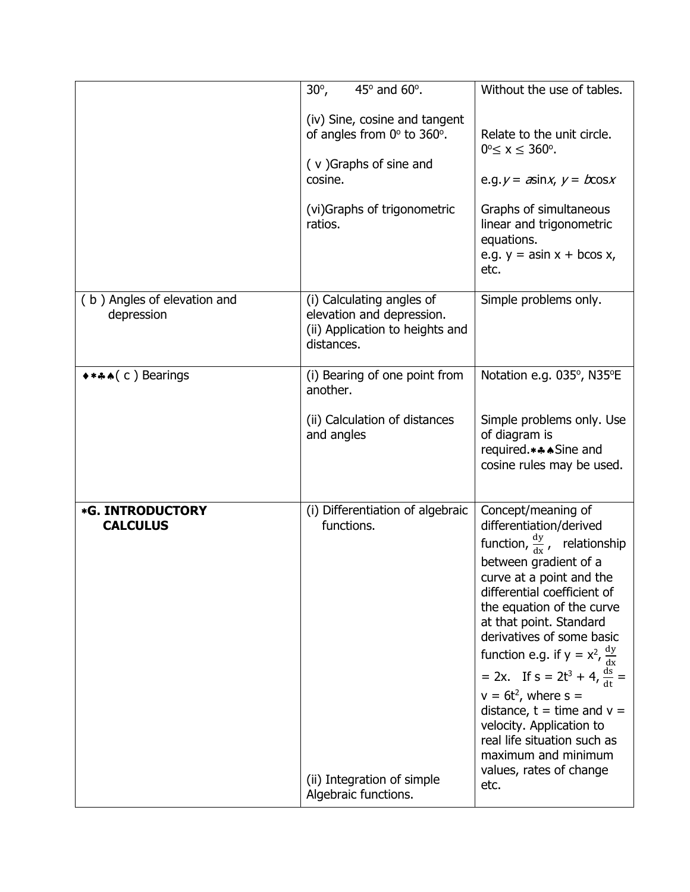|                                            | $30^\circ$ ,<br>$45^\circ$ and $60^\circ$ .                                                                                                                 | Without the use of tables.                                                                                                                                                                                                                                                                                                                                                                                                                                                                                                                         |
|--------------------------------------------|-------------------------------------------------------------------------------------------------------------------------------------------------------------|----------------------------------------------------------------------------------------------------------------------------------------------------------------------------------------------------------------------------------------------------------------------------------------------------------------------------------------------------------------------------------------------------------------------------------------------------------------------------------------------------------------------------------------------------|
|                                            | (iv) Sine, cosine and tangent<br>of angles from $0^\circ$ to 360 $^\circ$ .<br>(v) Graphs of sine and<br>cosine.<br>(vi) Graphs of trigonometric<br>ratios. | Relate to the unit circle.<br>$0^{\circ} \le x \le 360^{\circ}$ .<br>e.g. $y = \pi sin x$ , $y = b cos x$<br>Graphs of simultaneous<br>linear and trigonometric<br>equations.<br>e.g. $y =$ asin $x +$ bcos $x$ ,<br>etc.                                                                                                                                                                                                                                                                                                                          |
| (b) Angles of elevation and<br>depression  | (i) Calculating angles of<br>elevation and depression.<br>(ii) Application to heights and<br>distances.                                                     | Simple problems only.                                                                                                                                                                                                                                                                                                                                                                                                                                                                                                                              |
| $***$ $( c )$ Bearings                     | (i) Bearing of one point from<br>another.<br>(ii) Calculation of distances<br>and angles                                                                    | Notation e.g. 035°, N35°E<br>Simple problems only. Use<br>of diagram is<br>required.***Sine and<br>cosine rules may be used.                                                                                                                                                                                                                                                                                                                                                                                                                       |
| <b>*G. INTRODUCTORY</b><br><b>CALCULUS</b> | (i) Differentiation of algebraic<br>functions.<br>(ii) Integration of simple<br>Algebraic functions.                                                        | Concept/meaning of<br>differentiation/derived<br>function, $\frac{dy}{dx}$ , relationship<br>between gradient of a<br>curve at a point and the<br>differential coefficient of<br>the equation of the curve<br>at that point. Standard<br>derivatives of some basic<br>function e.g. if $y = x^2$ , $\frac{dy}{dx}$<br>= 2x. If $s = 2t^3 + 4$ , $\frac{ds}{dt} =$<br>$v = 6t^2$ , where s =<br>distance, $t = time$ and $v =$<br>velocity. Application to<br>real life situation such as<br>maximum and minimum<br>values, rates of change<br>etc. |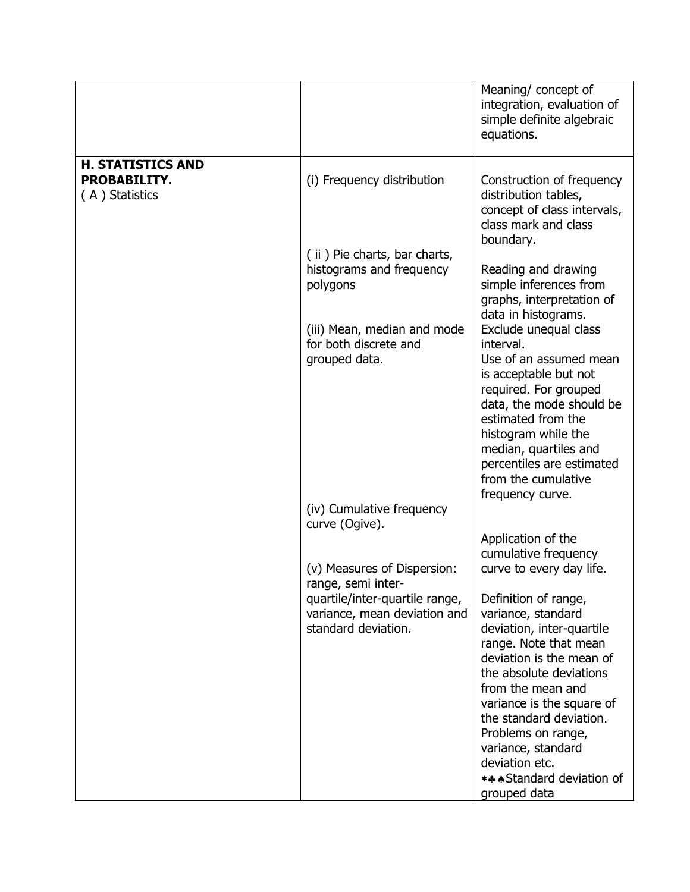|                                                            |                                                                                       | Meaning/ concept of<br>integration, evaluation of<br>simple definite algebraic<br>equations.                                                                                                                                                                                                                                                    |
|------------------------------------------------------------|---------------------------------------------------------------------------------------|-------------------------------------------------------------------------------------------------------------------------------------------------------------------------------------------------------------------------------------------------------------------------------------------------------------------------------------------------|
| <b>H. STATISTICS AND</b><br>PROBABILITY.<br>(A) Statistics | (i) Frequency distribution                                                            | Construction of frequency<br>distribution tables,<br>concept of class intervals,<br>class mark and class<br>boundary.                                                                                                                                                                                                                           |
|                                                            | (ii) Pie charts, bar charts,<br>histograms and frequency<br>polygons                  | Reading and drawing<br>simple inferences from<br>graphs, interpretation of<br>data in histograms.                                                                                                                                                                                                                                               |
|                                                            | (iii) Mean, median and mode<br>for both discrete and<br>grouped data.                 | Exclude unequal class<br>interval.<br>Use of an assumed mean<br>is acceptable but not<br>required. For grouped<br>data, the mode should be<br>estimated from the<br>histogram while the<br>median, quartiles and<br>percentiles are estimated<br>from the cumulative<br>frequency curve.                                                        |
|                                                            | (iv) Cumulative frequency<br>curve (Ogive).                                           |                                                                                                                                                                                                                                                                                                                                                 |
|                                                            | (v) Measures of Dispersion:<br>range, semi inter-                                     | Application of the<br>cumulative frequency<br>curve to every day life.                                                                                                                                                                                                                                                                          |
|                                                            | quartile/inter-quartile range,<br>variance, mean deviation and<br>standard deviation. | Definition of range,<br>variance, standard<br>deviation, inter-quartile<br>range. Note that mean<br>deviation is the mean of<br>the absolute deviations<br>from the mean and<br>variance is the square of<br>the standard deviation.<br>Problems on range,<br>variance, standard<br>deviation etc.<br>*** Standard deviation of<br>grouped data |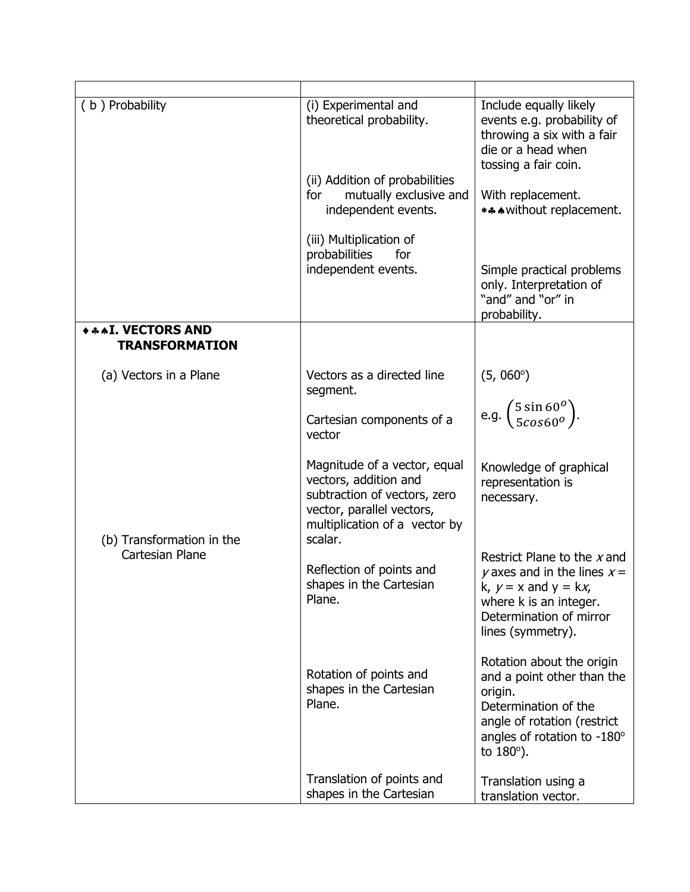| (b) Probability                                     | (i) Experimental and<br>theoretical probability.                                                                                                    | Include equally likely<br>events e.g. probability of<br>throwing a six with a fair<br>die or a head when<br>tossing a fair coin.                                              |
|-----------------------------------------------------|-----------------------------------------------------------------------------------------------------------------------------------------------------|-------------------------------------------------------------------------------------------------------------------------------------------------------------------------------|
|                                                     | (ii) Addition of probabilities<br>mutually exclusive and<br>for<br>independent events.                                                              | With replacement.<br>*** without replacement.                                                                                                                                 |
|                                                     | (iii) Multiplication of<br>probabilities<br>for<br>independent events.                                                                              | Simple practical problems<br>only. Interpretation of<br>"and" and "or" in<br>probability.                                                                                     |
| <b>***I. VECTORS AND</b><br><b>TRANSFORMATION</b>   |                                                                                                                                                     |                                                                                                                                                                               |
| (a) Vectors in a Plane                              | Vectors as a directed line<br>segment.<br>Cartesian components of a<br>vector                                                                       | $(5, 060^{\circ})$<br>e.g. $\binom{5 \sin 60^o}{5 \cos 60^o}$ .                                                                                                               |
| (b) Transformation in the<br><b>Cartesian Plane</b> | Magnitude of a vector, equal<br>vectors, addition and<br>subtraction of vectors, zero<br>vector, parallel vectors,<br>multiplication of a vector by | Knowledge of graphical<br>representation is<br>necessary.                                                                                                                     |
|                                                     | scalar.<br>Reflection of points and<br>shapes in the Cartesian<br>Plane.                                                                            | Restrict Plane to the x and<br>y axes and in the lines $x =$<br>k, $y = x$ and $y = kx$ ,<br>where k is an integer.<br>Determination of mirror<br>lines (symmetry).           |
|                                                     | Rotation of points and<br>shapes in the Cartesian<br>Plane.                                                                                         | Rotation about the origin<br>and a point other than the<br>origin.<br>Determination of the<br>angle of rotation (restrict<br>angles of rotation to -180°<br>to $180^\circ$ ). |
|                                                     | Translation of points and<br>shapes in the Cartesian                                                                                                | Translation using a<br>translation vector.                                                                                                                                    |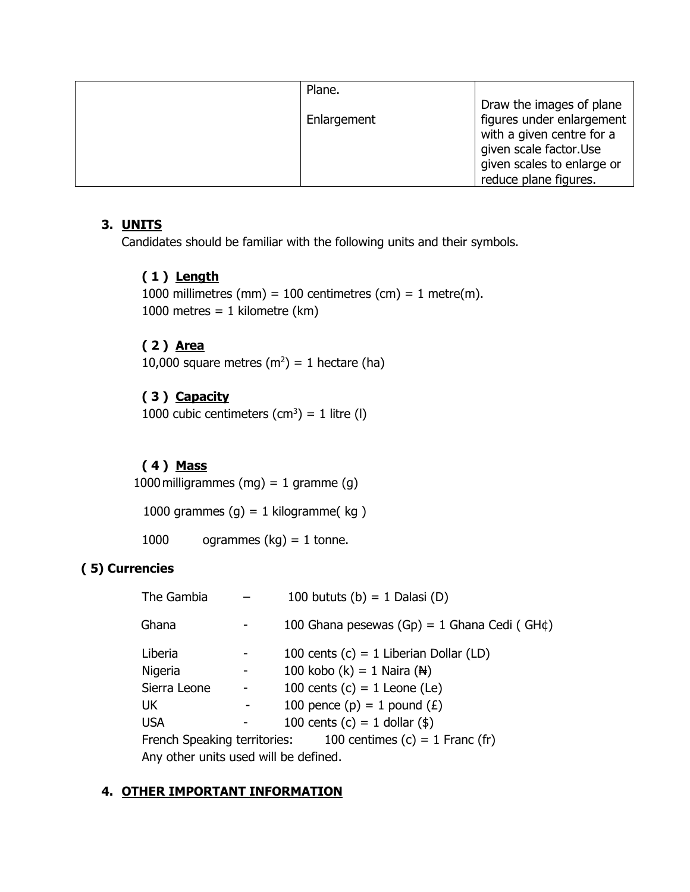| Plane.      |                                                                                                                                            |
|-------------|--------------------------------------------------------------------------------------------------------------------------------------------|
| Enlargement | Draw the images of plane<br>figures under enlargement<br>with a given centre for a<br>given scale factor.Use<br>given scales to enlarge or |
|             | reduce plane figures.                                                                                                                      |

# **3. UNITS**

Candidates should be familiar with the following units and their symbols.

# **( 1 ) Length**

1000 millimetres (mm) = 100 centimetres (cm) = 1 metre(m). 1000 metres =  $1$  kilometre (km)

# **( 2 ) Area**

10,000 square metres  $(m^2) = 1$  hectare (ha)

# **( 3 ) Capacity**

1000 cubic centimeters  $(cm^3) = 1$  litre (I)

# **( 4 ) Mass**

1000 milligrammes (mg) = 1 gramme (g)

1000 grammes  $(g) = 1$  kilogramme(kg)

1000 ogrammes  $(kg) = 1$  tonne.

### **( 5) Currencies**

| The Gambia                            |  | 100 bututs (b) = 1 Dalasi (D)                                  |
|---------------------------------------|--|----------------------------------------------------------------|
| Ghana                                 |  | 100 Ghana pesewas (Gp) = 1 Ghana Cedi (GH $\phi$ )             |
| Liberia                               |  | 100 cents $(c) = 1$ Liberian Dollar (LD)                       |
| Nigeria                               |  | 100 kobo (k) = 1 Naira ( $\mathbb{H}$ )                        |
| Sierra Leone                          |  | 100 cents $(c) = 1$ Leone (Le)                                 |
| <b>UK</b>                             |  | 100 pence (p) = 1 pound $(E)$                                  |
| <b>USA</b>                            |  | 100 cents (c) = 1 dollar (\$)                                  |
|                                       |  | French Speaking territories: $100$ centimes (c) = 1 Franc (fr) |
| Any other units used will be defined. |  |                                                                |

### **4. OTHER IMPORTANT INFORMATION**